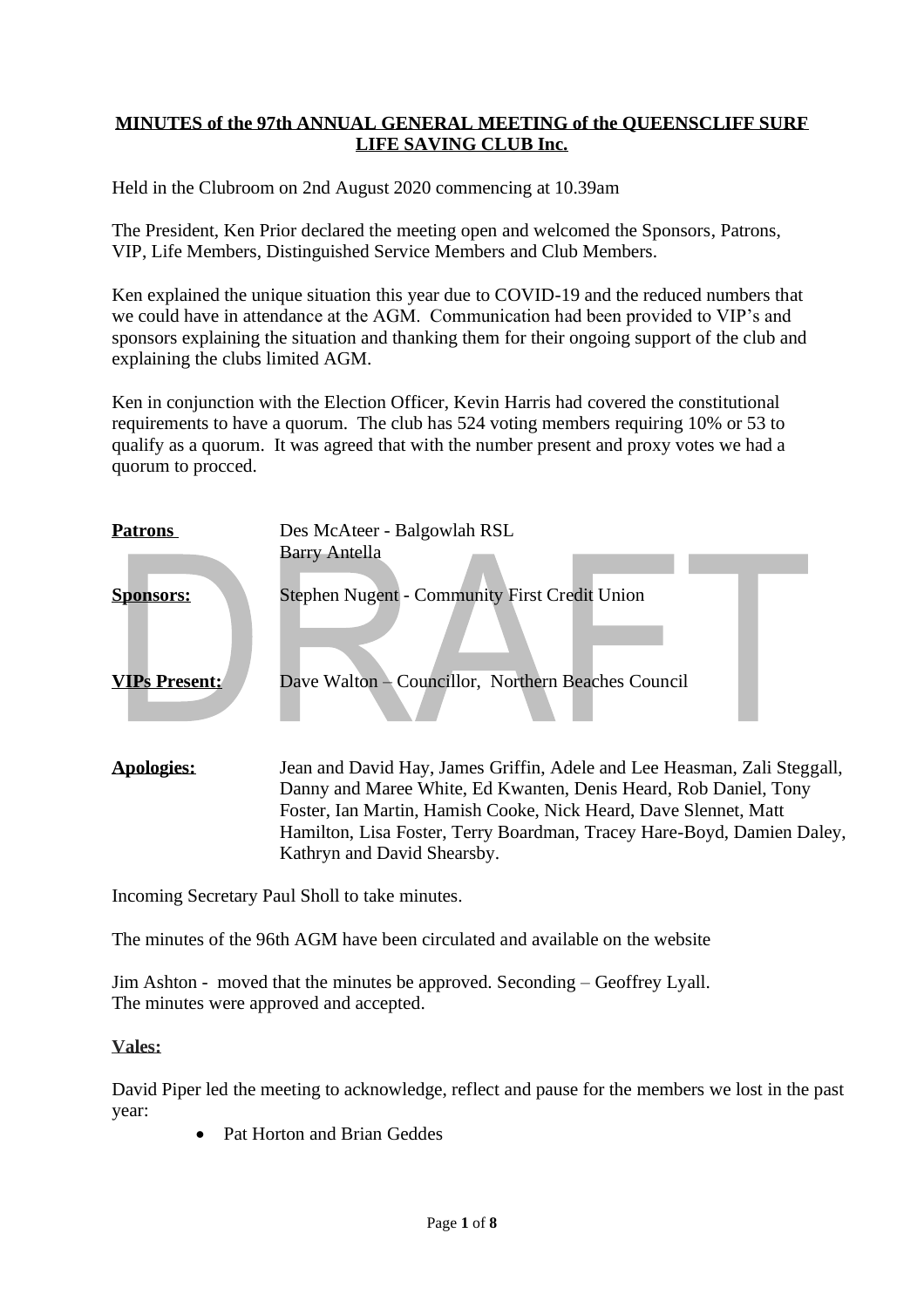## **MINUTES of the 97th ANNUAL GENERAL MEETING of the QUEENSCLIFF SURF LIFE SAVING CLUB Inc.**

Held in the Clubroom on 2nd August 2020 commencing at 10.39am

The President, Ken Prior declared the meeting open and welcomed the Sponsors, Patrons, VIP, Life Members, Distinguished Service Members and Club Members.

Ken explained the unique situation this year due to COVID-19 and the reduced numbers that we could have in attendance at the AGM. Communication had been provided to VIP's and sponsors explaining the situation and thanking them for their ongoing support of the club and explaining the clubs limited AGM.

Ken in conjunction with the Election Officer, Kevin Harris had covered the constitutional requirements to have a quorum. The club has 524 voting members requiring 10% or 53 to qualify as a quorum. It was agreed that with the number present and proxy votes we had a quorum to procced.

| <b>Patrons</b>       | Des McAteer - Balgowlah RSL<br><b>Barry Antella</b>                                                                                                                                                              |
|----------------------|------------------------------------------------------------------------------------------------------------------------------------------------------------------------------------------------------------------|
| <b>Sponsors:</b>     | <b>Stephen Nugent - Community First Credit Union</b>                                                                                                                                                             |
| <b>VIPs Present:</b> | Dave Walton - Councillor, Northern Beaches Council                                                                                                                                                               |
| Apologies:           | Jean and David Hay, James Griffin, Adele and Lee Heasman, Zali Steggall,<br>Danny and Maree White, Ed Kwanten, Denis Heard, Rob Daniel, Tony<br>Foster, Ian Martin, Hamish Cooke, Nick Heard, Dave Slennet, Matt |

Hamilton, Lisa Foster, Terry Boardman, Tracey Hare-Boyd, Damien Daley,

Incoming Secretary Paul Sholl to take minutes.

The minutes of the 96th AGM have been circulated and available on the website

Kathryn and David Shearsby.

Jim Ashton - moved that the minutes be approved. Seconding – Geoffrey Lyall. The minutes were approved and accepted.

#### **Vales:**

David Piper led the meeting to acknowledge, reflect and pause for the members we lost in the past year:

• Pat Horton and Brian Geddes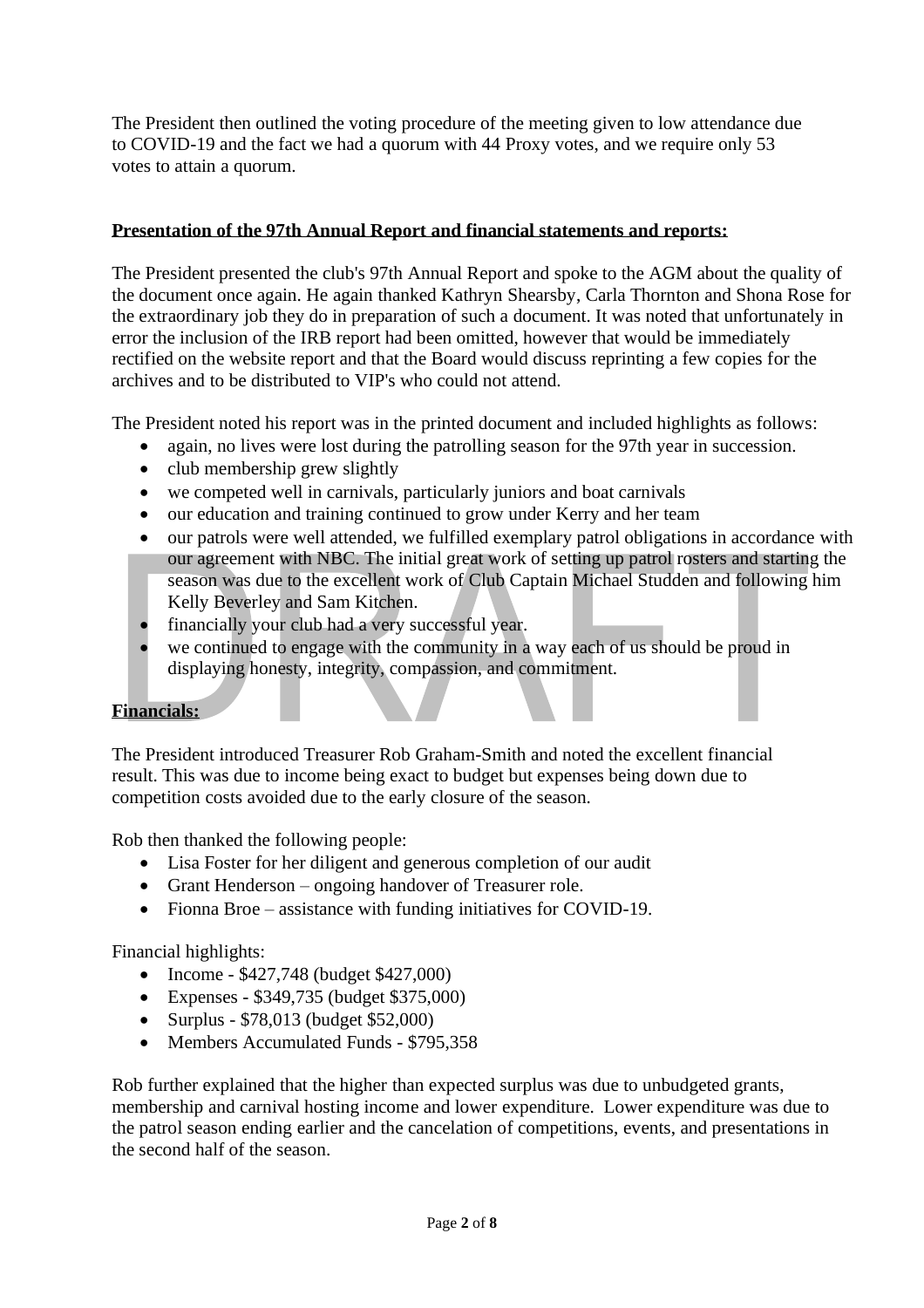The President then outlined the voting procedure of the meeting given to low attendance due to COVID-19 and the fact we had a quorum with 44 Proxy votes, and we require only 53 votes to attain a quorum.

# **Presentation of the 97th Annual Report and financial statements and reports:**

The President presented the club's 97th Annual Report and spoke to the AGM about the quality of the document once again. He again thanked Kathryn Shearsby, Carla Thornton and Shona Rose for the extraordinary job they do in preparation of such a document. It was noted that unfortunately in error the inclusion of the IRB report had been omitted, however that would be immediately rectified on the website report and that the Board would discuss reprinting a few copies for the archives and to be distributed to VIP's who could not attend.

The President noted his report was in the printed document and included highlights as follows:

- again, no lives were lost during the patrolling season for the 97th year in succession.
- club membership grew slightly
- we competed well in carnivals, particularly juniors and boat carnivals
- our education and training continued to grow under Kerry and her team
- our patrols were well attended, we fulfilled exemplary patrol obligations in accordance with our agreement with NBC. The initial great work of setting up patrol rosters and starting the season was due to the excellent work of Club Captain Michael Studden and following him Kelly Beverley and Sam Kitchen.
- financially your club had a very successful year.
- we continued to engage with the community in a way each of us should be proud in displaying honesty, integrity, compassion, and commitment.

### **Financials:**

The President introduced Treasurer Rob Graham-Smith and noted the excellent financial result. This was due to income being exact to budget but expenses being down due to competition costs avoided due to the early closure of the season.

Rob then thanked the following people:

- Lisa Foster for her diligent and generous completion of our audit
- Grant Henderson ongoing handover of Treasurer role.
- Fionna Broe assistance with funding initiatives for COVID-19.

Financial highlights:

- Income \$427,748 (budget \$427,000)
- Expenses \$349,735 (budget \$375,000)
- Surplus \$78,013 (budget \$52,000)
- Members Accumulated Funds \$795,358

Rob further explained that the higher than expected surplus was due to unbudgeted grants, membership and carnival hosting income and lower expenditure. Lower expenditure was due to the patrol season ending earlier and the cancelation of competitions, events, and presentations in the second half of the season.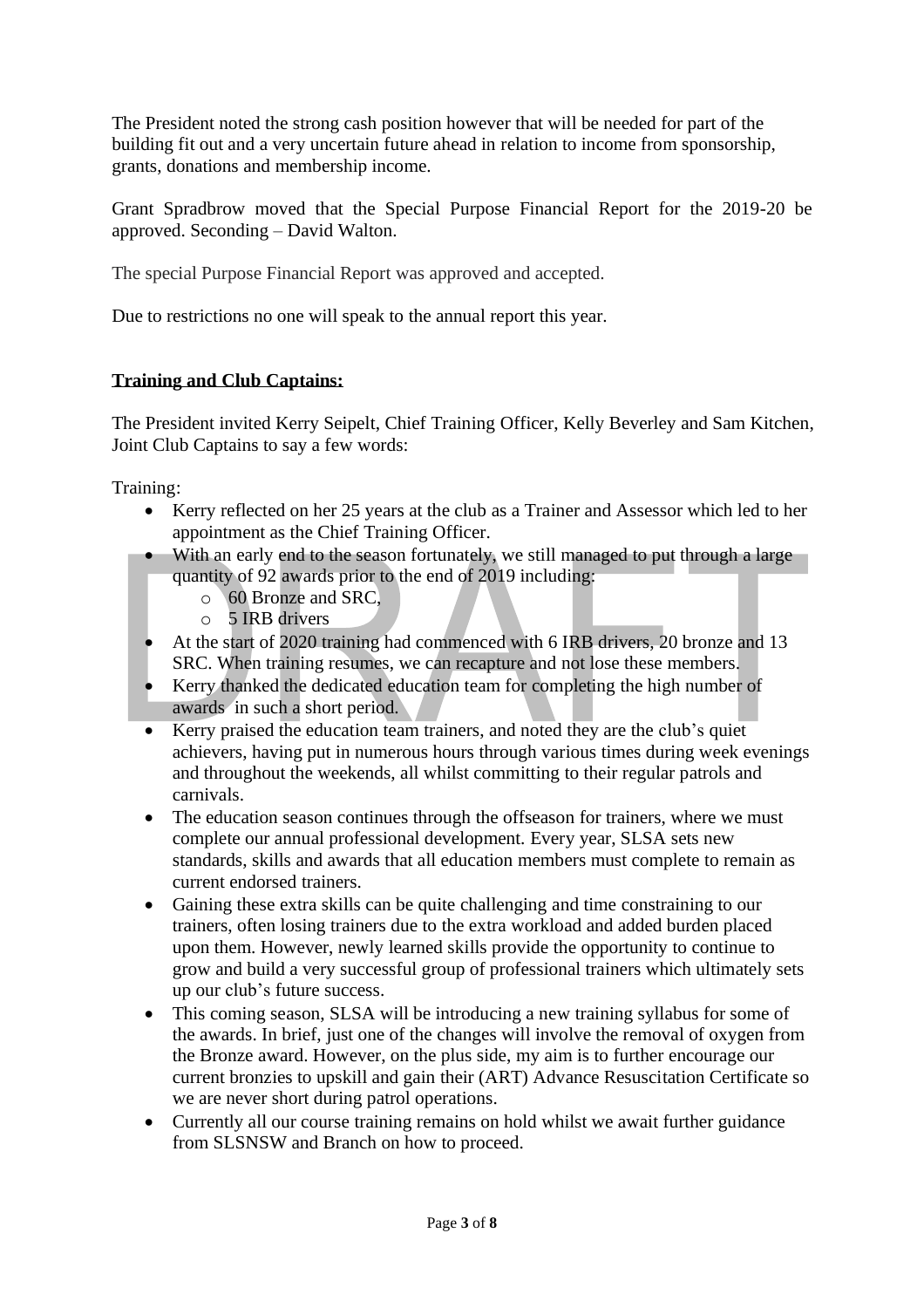The President noted the strong cash position however that will be needed for part of the building fit out and a very uncertain future ahead in relation to income from sponsorship, grants, donations and membership income.

Grant Spradbrow moved that the Special Purpose Financial Report for the 2019-20 be approved. Seconding – David Walton.

The special Purpose Financial Report was approved and accepted.

Due to restrictions no one will speak to the annual report this year.

# **Training and Club Captains:**

The President invited Kerry Seipelt, Chief Training Officer, Kelly Beverley and Sam Kitchen, Joint Club Captains to say a few words:

Training:

- Kerry reflected on her 25 years at the club as a Trainer and Assessor which led to her appointment as the Chief Training Officer.
- With an early end to the season fortunately, we still managed to put through a large quantity of 92 awards prior to the end of 2019 including:
	- o 60 Bronze and SRC,
	- o 5 IRB drivers
- At the start of 2020 training had commenced with 6 IRB drivers, 20 bronze and 13 SRC. When training resumes, we can recapture and not lose these members.
- Kerry thanked the dedicated education team for completing the high number of awards in such a short period.
- Kerry praised the education team trainers, and noted they are the club's quiet achievers, having put in numerous hours through various times during week evenings and throughout the weekends, all whilst committing to their regular patrols and carnivals.
- The education season continues through the offseason for trainers, where we must complete our annual professional development. Every year, SLSA sets new standards, skills and awards that all education members must complete to remain as current endorsed trainers.
- Gaining these extra skills can be quite challenging and time constraining to our trainers, often losing trainers due to the extra workload and added burden placed upon them. However, newly learned skills provide the opportunity to continue to grow and build a very successful group of professional trainers which ultimately sets up our club's future success.
- This coming season, SLSA will be introducing a new training syllabus for some of the awards. In brief, just one of the changes will involve the removal of oxygen from the Bronze award. However, on the plus side, my aim is to further encourage our current bronzies to upskill and gain their (ART) Advance Resuscitation Certificate so we are never short during patrol operations.
- Currently all our course training remains on hold whilst we await further guidance from SLSNSW and Branch on how to proceed.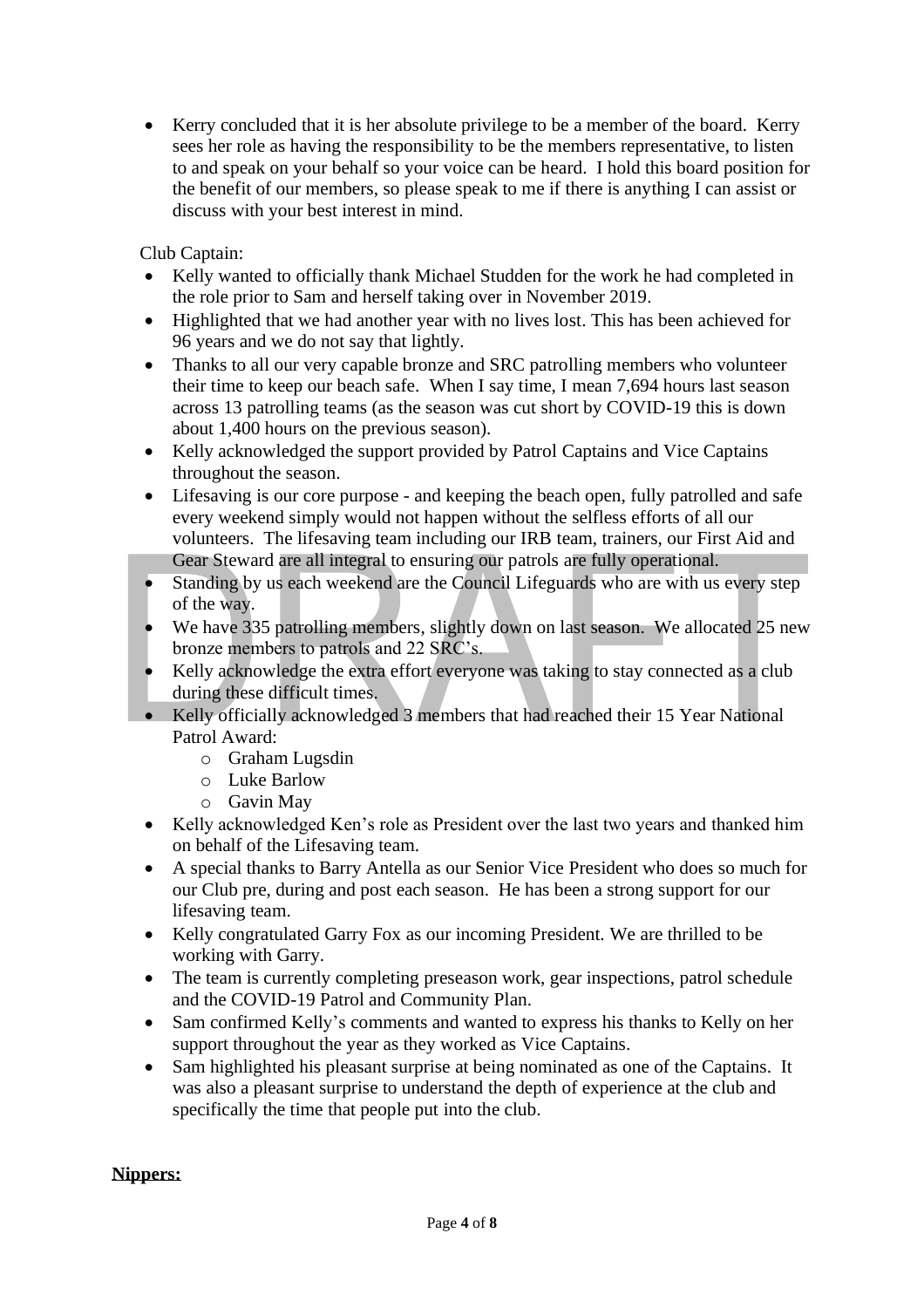• Kerry concluded that it is her absolute privilege to be a member of the board. Kerry sees her role as having the responsibility to be the members representative, to listen to and speak on your behalf so your voice can be heard. I hold this board position for the benefit of our members, so please speak to me if there is anything I can assist or discuss with your best interest in mind.

Club Captain:

- Kelly wanted to officially thank Michael Studden for the work he had completed in the role prior to Sam and herself taking over in November 2019.
- Highlighted that we had another year with no lives lost. This has been achieved for 96 years and we do not say that lightly.
- Thanks to all our very capable bronze and SRC patrolling members who volunteer their time to keep our beach safe. When I say time, I mean 7,694 hours last season across 13 patrolling teams (as the season was cut short by COVID-19 this is down about 1,400 hours on the previous season).
- Kelly acknowledged the support provided by Patrol Captains and Vice Captains throughout the season.
- Lifesaving is our core purpose and keeping the beach open, fully patrolled and safe every weekend simply would not happen without the selfless efforts of all our volunteers. The lifesaving team including our IRB team, trainers, our First Aid and Gear Steward are all integral to ensuring our patrols are fully operational.
- Standing by us each weekend are the Council Lifeguards who are with us every step of the way.
- We have 335 patrolling members, slightly down on last season. We allocated 25 new bronze members to patrols and 22 SRC's.
- Kelly acknowledge the extra effort everyone was taking to stay connected as a club during these difficult times.
- Kelly officially acknowledged 3 members that had reached their 15 Year National Patrol Award:
	- o Graham Lugsdin
	- o Luke Barlow
	- o Gavin May
- Kelly acknowledged Ken's role as President over the last two years and thanked him on behalf of the Lifesaving team.
- A special thanks to Barry Antella as our Senior Vice President who does so much for our Club pre, during and post each season. He has been a strong support for our lifesaving team.
- Kelly congratulated Garry Fox as our incoming President. We are thrilled to be working with Garry.
- The team is currently completing preseason work, gear inspections, patrol schedule and the COVID-19 Patrol and Community Plan.
- Sam confirmed Kelly's comments and wanted to express his thanks to Kelly on her support throughout the year as they worked as Vice Captains.
- Sam highlighted his pleasant surprise at being nominated as one of the Captains. It was also a pleasant surprise to understand the depth of experience at the club and specifically the time that people put into the club.

# **Nippers:**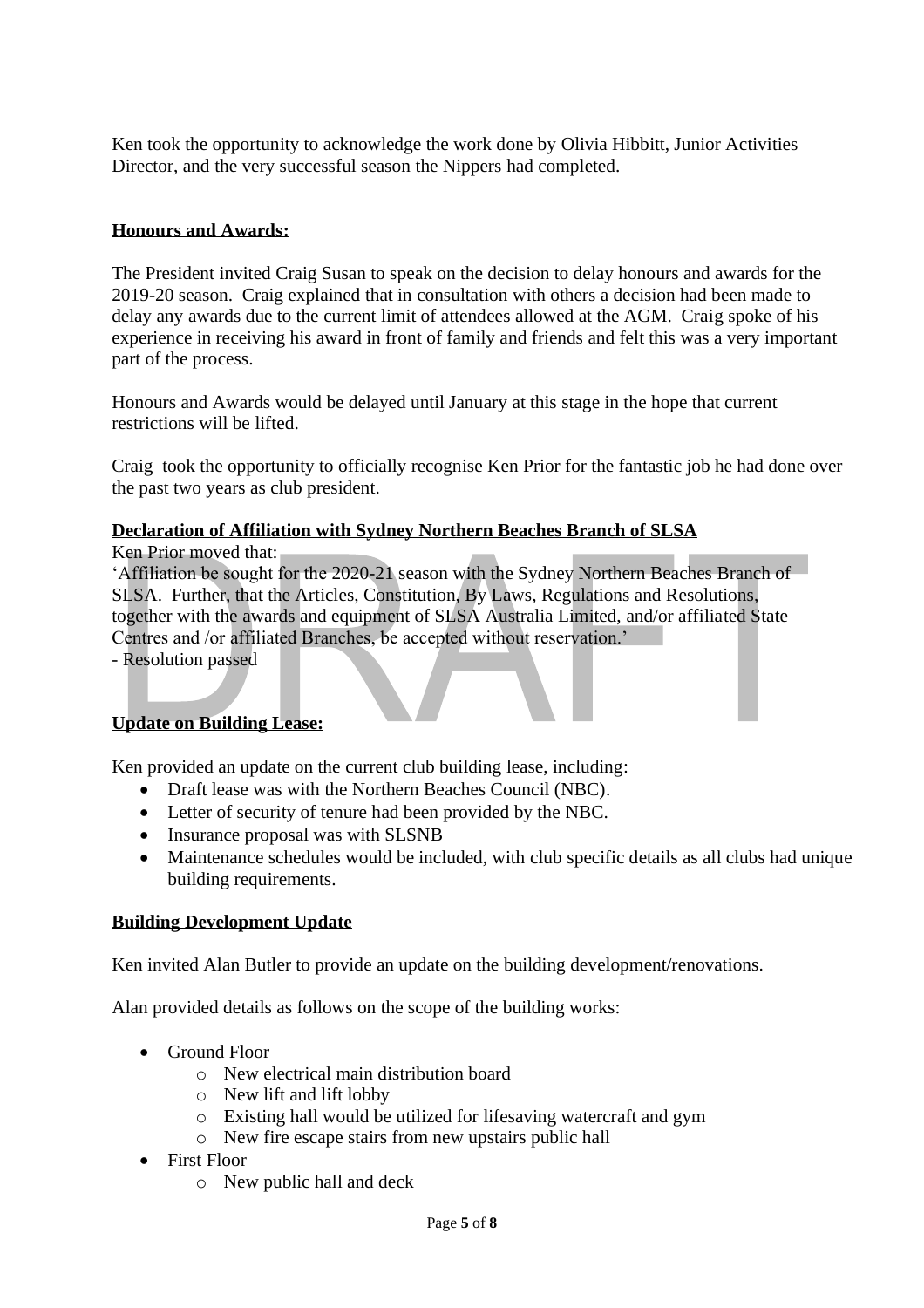Ken took the opportunity to acknowledge the work done by Olivia Hibbitt, Junior Activities Director, and the very successful season the Nippers had completed.

# **Honours and Awards:**

The President invited Craig Susan to speak on the decision to delay honours and awards for the 2019-20 season. Craig explained that in consultation with others a decision had been made to delay any awards due to the current limit of attendees allowed at the AGM. Craig spoke of his experience in receiving his award in front of family and friends and felt this was a very important part of the process.

Honours and Awards would be delayed until January at this stage in the hope that current restrictions will be lifted.

Craig took the opportunity to officially recognise Ken Prior for the fantastic job he had done over the past two years as club president.

### **Declaration of Affiliation with Sydney Northern Beaches Branch of SLSA**

Ken Prior moved that:

'Affiliation be sought for the 2020-21 season with the Sydney Northern Beaches Branch of SLSA. Further, that the Articles, Constitution, By Laws, Regulations and Resolutions, together with the awards and equipment of SLSA Australia Limited, and/or affiliated State Centres and /or affiliated Branches, be accepted without reservation.'

- Resolution passed

### **Update on Building Lease:**

Ken provided an update on the current club building lease, including:

- Draft lease was with the Northern Beaches Council (NBC).
- Letter of security of tenure had been provided by the NBC.
- Insurance proposal was with SLSNB
- Maintenance schedules would be included, with club specific details as all clubs had unique building requirements.

#### **Building Development Update**

Ken invited Alan Butler to provide an update on the building development/renovations.

Alan provided details as follows on the scope of the building works:

- Ground Floor
	- o New electrical main distribution board
	- o New lift and lift lobby
	- o Existing hall would be utilized for lifesaving watercraft and gym
	- o New fire escape stairs from new upstairs public hall
- First Floor
	- o New public hall and deck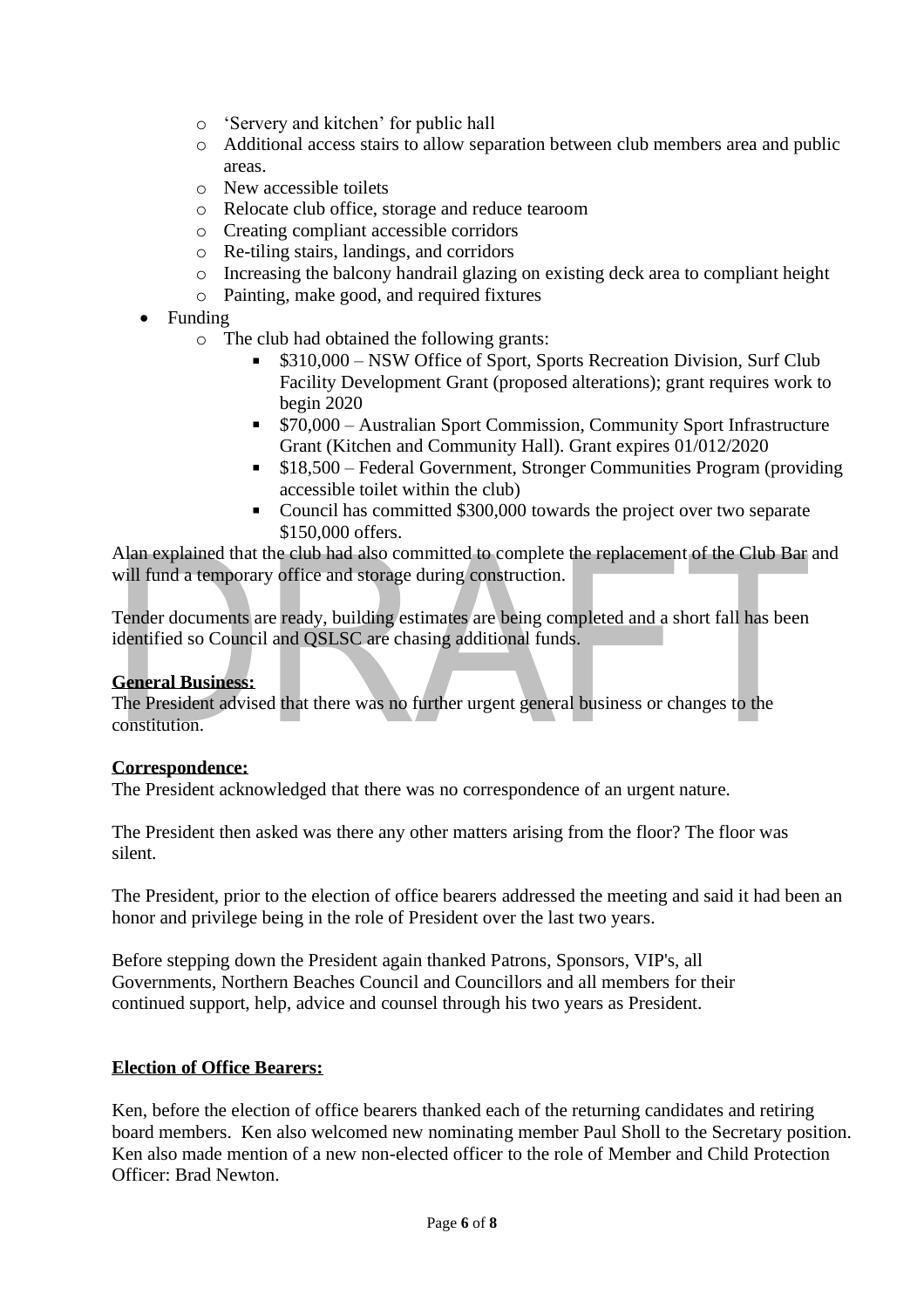- o 'Servery and kitchen' for public hall
- o Additional access stairs to allow separation between club members area and public areas.
- o New accessible toilets
- o Relocate club office, storage and reduce tearoom
- o Creating compliant accessible corridors
- o Re-tiling stairs, landings, and corridors
- o Increasing the balcony handrail glazing on existing deck area to compliant height
- o Painting, make good, and required fixtures
- Funding
	- o The club had obtained the following grants:
		- \$310,000 NSW Office of Sport, Sports Recreation Division, Surf Club Facility Development Grant (proposed alterations); grant requires work to begin 2020
		- \$70,000 Australian Sport Commission, Community Sport Infrastructure Grant (Kitchen and Community Hall). Grant expires 01/012/2020
		- \$18,500 Federal Government, Stronger Communities Program (providing accessible toilet within the club)
		- Council has committed \$300,000 towards the project over two separate  $\mathbf{u}$  . \$150,000 offers.

Alan explained that the club had also committed to complete the replacement of the Club Bar and will fund a temporary office and storage during construction.

Tender documents are ready, building estimates are being completed and a short fall has been identified so Council and QSLSC are chasing additional funds.

#### **General Business:**

The President advised that there was no further urgent general business or changes to the constitution.

#### **Correspondence:**

The President acknowledged that there was no correspondence of an urgent nature.

The President then asked was there any other matters arising from the floor? The floor was silent.

The President, prior to the election of office bearers addressed the meeting and said it had been an honor and privilege being in the role of President over the last two years.

Before stepping down the President again thanked Patrons, Sponsors, VIP's, all Governments, Northern Beaches Council and Councillors and all members for their continued support, help, advice and counsel through his two years as President.

#### **Election of Office Bearers:**

Ken, before the election of office bearers thanked each of the returning candidates and retiring board members. Ken also welcomed new nominating member Paul Sholl to the Secretary position. Ken also made mention of a new non-elected officer to the role of Member and Child Protection Officer: Brad Newton.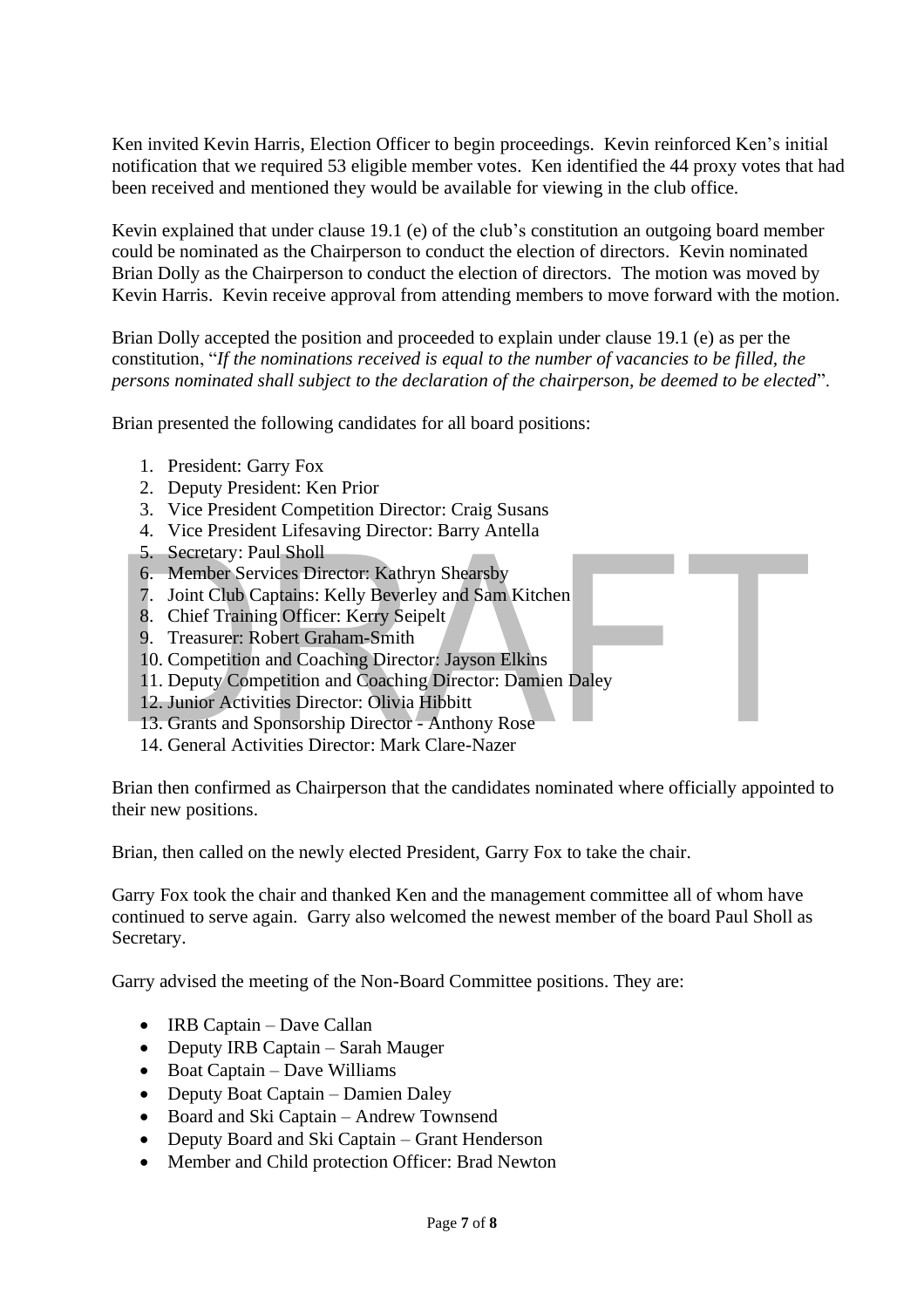Ken invited Kevin Harris, Election Officer to begin proceedings. Kevin reinforced Ken's initial notification that we required 53 eligible member votes. Ken identified the 44 proxy votes that had been received and mentioned they would be available for viewing in the club office.

Kevin explained that under clause 19.1 (e) of the club's constitution an outgoing board member could be nominated as the Chairperson to conduct the election of directors. Kevin nominated Brian Dolly as the Chairperson to conduct the election of directors. The motion was moved by Kevin Harris. Kevin receive approval from attending members to move forward with the motion.

Brian Dolly accepted the position and proceeded to explain under clause 19.1 (e) as per the constitution, "*If the nominations received is equal to the number of vacancies to be filled, the persons nominated shall subject to the declaration of the chairperson, be deemed to be elected*".

Brian presented the following candidates for all board positions:

- 1. President: Garry Fox
- 2. Deputy President: Ken Prior
- 3. Vice President Competition Director: Craig Susans
- 4. Vice President Lifesaving Director: Barry Antella
- 5. Secretary: Paul Sholl
- 6. Member Services Director: Kathryn Shearsby
- 7. Joint Club Captains: Kelly Beverley and Sam Kitchen
- 8. Chief Training Officer: Kerry Seipelt
- 9. Treasurer: Robert Graham-Smith
- 10. Competition and Coaching Director: Jayson Elkins
- 11. Deputy Competition and Coaching Director: Damien Daley
- 12. Junior Activities Director: Olivia Hibbitt
- 13. Grants and Sponsorship Director Anthony Rose
- 14. General Activities Director: Mark Clare-Nazer

Brian then confirmed as Chairperson that the candidates nominated where officially appointed to their new positions.

Brian, then called on the newly elected President, Garry Fox to take the chair.

Garry Fox took the chair and thanked Ken and the management committee all of whom have continued to serve again. Garry also welcomed the newest member of the board Paul Sholl as Secretary.

Garry advised the meeting of the Non-Board Committee positions. They are:

- IRB Captain Dave Callan
- Deputy IRB Captain Sarah Mauger
- Boat Captain Dave Williams
- Deputy Boat Captain Damien Daley
- Board and Ski Captain Andrew Townsend
- Deputy Board and Ski Captain Grant Henderson
- Member and Child protection Officer: Brad Newton